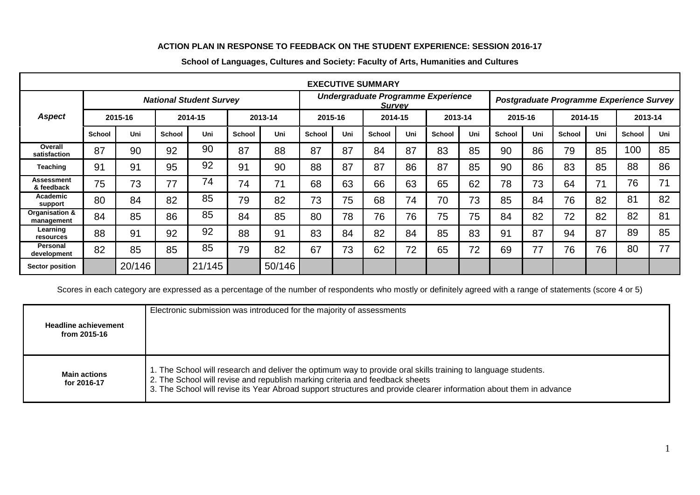## **ACTION PLAN IN RESPONSE TO FEEDBACK ON THE STUDENT EXPERIENCE: SESSION 2016-17**

|                                 |                                |         |               |         |                                                     |         |               |     | <b>EXECUTIVE SUMMARY</b>                 |     |               |     |               |     |         |     |               |     |
|---------------------------------|--------------------------------|---------|---------------|---------|-----------------------------------------------------|---------|---------------|-----|------------------------------------------|-----|---------------|-----|---------------|-----|---------|-----|---------------|-----|
|                                 | <b>National Student Survey</b> |         |               |         | Undergraduate Programme Experience<br><b>Survey</b> |         |               |     | Postgraduate Programme Experience Survey |     |               |     |               |     |         |     |               |     |
| <b>Aspect</b>                   |                                | 2015-16 |               | 2014-15 |                                                     | 2013-14 | 2015-16       |     | 2014-15                                  |     | 2013-14       |     | 2015-16       |     | 2014-15 |     | 2013-14       |     |
|                                 | <b>School</b>                  | Uni     | <b>School</b> | Uni     | <b>School</b>                                       | Uni     | <b>School</b> | Uni | <b>School</b>                            | Uni | <b>School</b> | Uni | <b>School</b> | Uni | School  | Uni | <b>School</b> | Uni |
| Overall<br>satisfaction         | 87                             | 90      | 92            | 90      | 87                                                  | 88      | 87            | 87  | 84                                       | 87  | 83            | 85  | 90            | 86  | 79      | 85  | 100           | 85  |
| <b>Teaching</b>                 | 91                             | 91      | 95            | 92      | 91                                                  | 90      | 88            | 87  | 87                                       | 86  | 87            | 85  | 90            | 86  | 83      | 85  | 88            | 86  |
| <b>Assessment</b><br>& feedback | 75                             | 73      | 77            | 74      | 74                                                  | 71      | 68            | 63  | 66                                       | 63  | 65            | 62  | 78            | 73  | 64      | 71  | 76            | 71  |
| Academic<br>support             | 80                             | 84      | 82            | 85      | 79                                                  | 82      | 73            | 75  | 68                                       | 74  | 70            | 73  | 85            | 84  | 76      | 82  | 81            | 82  |
| Organisation &<br>management    | 84                             | 85      | 86            | 85      | 84                                                  | 85      | 80            | 78  | 76                                       | 76  | 75            | 75  | 84            | 82  | 72      | 82  | 82            | 81  |
| Learning<br>resources           | 88                             | 91      | 92            | 92      | 88                                                  | 91      | 83            | 84  | 82                                       | 84  | 85            | 83  | 91            | 87  | 94      | 87  | 89            | 85  |
| Personal<br>development         | 82                             | 85      | 85            | 85      | 79                                                  | 82      | 67            | 73  | 62                                       | 72  | 65            | 72  | 69            | 77  | 76      | 76  | 80            | 77  |
| <b>Sector position</b>          |                                | 20/146  |               | 21/145  |                                                     | 50/146  |               |     |                                          |     |               |     |               |     |         |     |               |     |

## **School of Languages, Cultures and Society: Faculty of Arts, Humanities and Cultures**

Scores in each category are expressed as a percentage of the number of respondents who mostly or definitely agreed with a range of statements (score 4 or 5)

| <b>Headline achievement</b><br>from 2015-16 | Electronic submission was introduced for the majority of assessments                                                                                                                                                                                                                                                |
|---------------------------------------------|---------------------------------------------------------------------------------------------------------------------------------------------------------------------------------------------------------------------------------------------------------------------------------------------------------------------|
| <b>Main actions</b><br>for 2016-17          | 1. The School will research and deliver the optimum way to provide oral skills training to language students.<br>2. The School will revise and republish marking criteria and feedback sheets<br>3. The School will revise its Year Abroad support structures and provide clearer information about them in advance |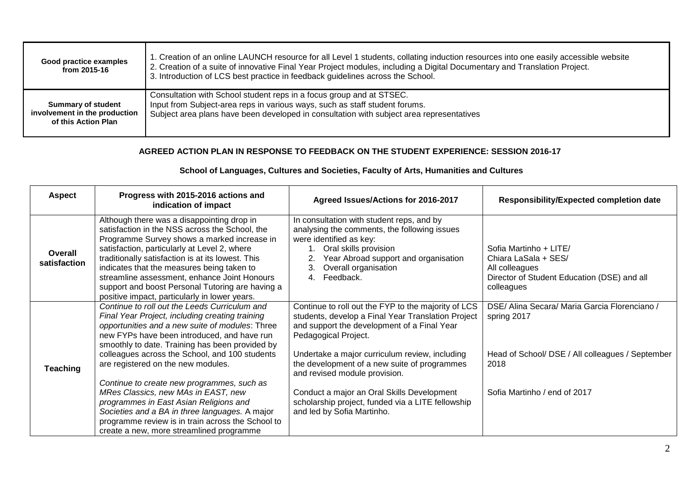| Good practice examples<br>from 2015-16 | 1. Creation of an online LAUNCH resource for all Level 1 students, collating induction resources into one easily accessible website<br>2. Creation of a suite of innovative Final Year Project modules, including a Digital Documentary and Translation Project.<br>3. Introduction of LCS best practice in feedback guidelines across the School. |
|----------------------------------------|----------------------------------------------------------------------------------------------------------------------------------------------------------------------------------------------------------------------------------------------------------------------------------------------------------------------------------------------------|
| <b>Summary of student</b>              | Consultation with School student reps in a focus group and at STSEC.                                                                                                                                                                                                                                                                               |
| involvement in the production          | Input from Subject-area reps in various ways, such as staff student forums.                                                                                                                                                                                                                                                                        |
| of this Action Plan                    | Subject area plans have been developed in consultation with subject area representatives                                                                                                                                                                                                                                                           |

## **AGREED ACTION PLAN IN RESPONSE TO FEEDBACK ON THE STUDENT EXPERIENCE: SESSION 2016-17**

## **School of Languages, Cultures and Societies, Faculty of Arts, Humanities and Cultures**

| <b>Aspect</b>           | Progress with 2015-2016 actions and<br>indication of impact                                                                                                                                                                                                                                                                                                                                                                                         | Agreed Issues/Actions for 2016-2017                                                                                                                                                                                                                                                                                 | <b>Responsibility/Expected completion date</b>                                                                                |
|-------------------------|-----------------------------------------------------------------------------------------------------------------------------------------------------------------------------------------------------------------------------------------------------------------------------------------------------------------------------------------------------------------------------------------------------------------------------------------------------|---------------------------------------------------------------------------------------------------------------------------------------------------------------------------------------------------------------------------------------------------------------------------------------------------------------------|-------------------------------------------------------------------------------------------------------------------------------|
| Overall<br>satisfaction | Although there was a disappointing drop in<br>satisfaction in the NSS across the School, the<br>Programme Survey shows a marked increase in<br>satisfaction, particularly at Level 2, where<br>traditionally satisfaction is at its lowest. This<br>indicates that the measures being taken to<br>streamline assessment, enhance Joint Honours<br>support and boost Personal Tutoring are having a<br>positive impact, particularly in lower years. | In consultation with student reps, and by<br>analysing the comments, the following issues<br>were identified as key:<br>Oral skills provision<br>Year Abroad support and organisation<br>Overall organisation<br>3.<br>Feedback.                                                                                    | Sofia Martinho + LITE/<br>Chiara LaSala + SES/<br>All colleagues<br>Director of Student Education (DSE) and all<br>colleagues |
| <b>Teaching</b>         | Continue to roll out the Leeds Curriculum and<br>Final Year Project, including creating training<br>opportunities and a new suite of modules: Three<br>new FYPs have been introduced, and have run<br>smoothly to date. Training has been provided by<br>colleagues across the School, and 100 students<br>are registered on the new modules.<br>Continue to create new programmes, such as                                                         | Continue to roll out the FYP to the majority of LCS<br>students, develop a Final Year Translation Project<br>and support the development of a Final Year<br>Pedagogical Project.<br>Undertake a major curriculum review, including<br>the development of a new suite of programmes<br>and revised module provision. | DSE/ Alina Secara/ Maria Garcia Florenciano /<br>spring 2017<br>Head of School/ DSE / All colleagues / September<br>2018      |
|                         | MRes Classics, new MAs in EAST, new<br>programmes in East Asian Religions and<br>Societies and a BA in three languages. A major<br>programme review is in train across the School to<br>create a new, more streamlined programme                                                                                                                                                                                                                    | Conduct a major an Oral Skills Development<br>scholarship project, funded via a LITE fellowship<br>and led by Sofia Martinho.                                                                                                                                                                                       | Sofia Martinho / end of 2017                                                                                                  |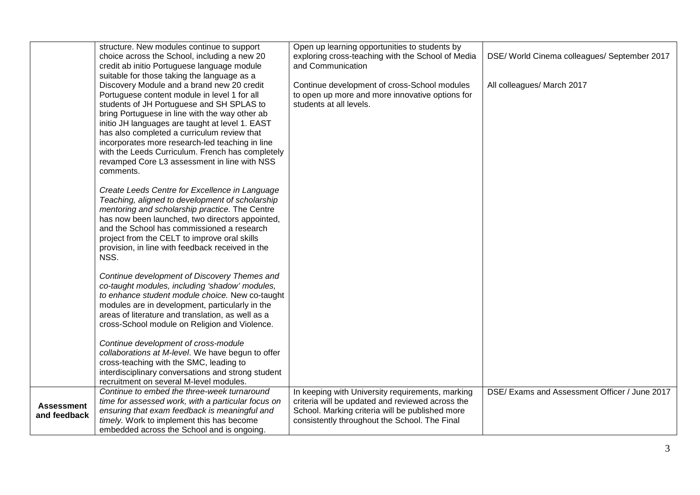|                                   | structure. New modules continue to support<br>choice across the School, including a new 20<br>credit ab initio Portuguese language module                                                                                                                                                                                                                                                                                                                                                                      | Open up learning opportunities to students by<br>exploring cross-teaching with the School of Media<br>and Communication                                                                                  | DSE/ World Cinema colleagues/ September 2017  |
|-----------------------------------|----------------------------------------------------------------------------------------------------------------------------------------------------------------------------------------------------------------------------------------------------------------------------------------------------------------------------------------------------------------------------------------------------------------------------------------------------------------------------------------------------------------|----------------------------------------------------------------------------------------------------------------------------------------------------------------------------------------------------------|-----------------------------------------------|
|                                   | suitable for those taking the language as a<br>Discovery Module and a brand new 20 credit<br>Portuguese content module in level 1 for all<br>students of JH Portuguese and SH SPLAS to<br>bring Portuguese in line with the way other ab<br>initio JH languages are taught at level 1. EAST<br>has also completed a curriculum review that<br>incorporates more research-led teaching in line<br>with the Leeds Curriculum. French has completely<br>revamped Core L3 assessment in line with NSS<br>comments. | Continue development of cross-School modules<br>to open up more and more innovative options for<br>students at all levels.                                                                               | All colleagues/ March 2017                    |
|                                   | Create Leeds Centre for Excellence in Language<br>Teaching, aligned to development of scholarship<br>mentoring and scholarship practice. The Centre<br>has now been launched, two directors appointed,<br>and the School has commissioned a research<br>project from the CELT to improve oral skills<br>provision, in line with feedback received in the<br>NSS.                                                                                                                                               |                                                                                                                                                                                                          |                                               |
|                                   | Continue development of Discovery Themes and<br>co-taught modules, including 'shadow' modules,<br>to enhance student module choice. New co-taught<br>modules are in development, particularly in the<br>areas of literature and translation, as well as a<br>cross-School module on Religion and Violence.                                                                                                                                                                                                     |                                                                                                                                                                                                          |                                               |
|                                   | Continue development of cross-module<br>collaborations at M-level. We have begun to offer<br>cross-teaching with the SMC, leading to<br>interdisciplinary conversations and strong student<br>recruitment on several M-level modules.                                                                                                                                                                                                                                                                          |                                                                                                                                                                                                          |                                               |
| <b>Assessment</b><br>and feedback | Continue to embed the three-week turnaround<br>time for assessed work, with a particular focus on<br>ensuring that exam feedback is meaningful and<br>timely. Work to implement this has become<br>embedded across the School and is ongoing.                                                                                                                                                                                                                                                                  | In keeping with University requirements, marking<br>criteria will be updated and reviewed across the<br>School. Marking criteria will be published more<br>consistently throughout the School. The Final | DSE/ Exams and Assessment Officer / June 2017 |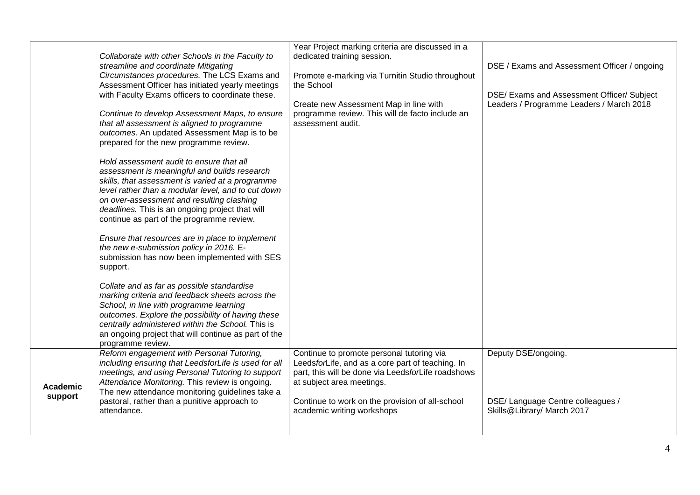|                     | Collaborate with other Schools in the Faculty to<br>streamline and coordinate Mitigating<br>Circumstances procedures. The LCS Exams and<br>Assessment Officer has initiated yearly meetings<br>with Faculty Exams officers to coordinate these.<br>Continue to develop Assessment Maps, to ensure<br>that all assessment is aligned to programme<br>outcomes. An updated Assessment Map is to be<br>prepared for the new programme review.<br>Hold assessment audit to ensure that all<br>assessment is meaningful and builds research<br>skills, that assessment is varied at a programme<br>level rather than a modular level, and to cut down<br>on over-assessment and resulting clashing<br>deadlines. This is an ongoing project that will<br>continue as part of the programme review.<br>Ensure that resources are in place to implement<br>the new e-submission policy in 2016. E-<br>submission has now been implemented with SES<br>support.<br>Collate and as far as possible standardise<br>marking criteria and feedback sheets across the<br>School, in line with programme learning<br>outcomes. Explore the possibility of having these<br>centrally administered within the School. This is<br>an ongoing project that will continue as part of the<br>programme review. | Year Project marking criteria are discussed in a<br>dedicated training session.<br>Promote e-marking via Turnitin Studio throughout<br>the School<br>Create new Assessment Map in line with<br>programme review. This will de facto include an<br>assessment audit. | DSE / Exams and Assessment Officer / ongoing<br>DSE/ Exams and Assessment Officer/ Subject<br>Leaders / Programme Leaders / March 2018 |
|---------------------|--------------------------------------------------------------------------------------------------------------------------------------------------------------------------------------------------------------------------------------------------------------------------------------------------------------------------------------------------------------------------------------------------------------------------------------------------------------------------------------------------------------------------------------------------------------------------------------------------------------------------------------------------------------------------------------------------------------------------------------------------------------------------------------------------------------------------------------------------------------------------------------------------------------------------------------------------------------------------------------------------------------------------------------------------------------------------------------------------------------------------------------------------------------------------------------------------------------------------------------------------------------------------------------------|---------------------------------------------------------------------------------------------------------------------------------------------------------------------------------------------------------------------------------------------------------------------|----------------------------------------------------------------------------------------------------------------------------------------|
| Academic<br>support | Reform engagement with Personal Tutoring,<br>including ensuring that LeedsforLife is used for all<br>meetings, and using Personal Tutoring to support<br>Attendance Monitoring. This review is ongoing.<br>The new attendance monitoring guidelines take a<br>pastoral, rather than a punitive approach to<br>attendance.                                                                                                                                                                                                                                                                                                                                                                                                                                                                                                                                                                                                                                                                                                                                                                                                                                                                                                                                                                  | Continue to promote personal tutoring via<br>LeedsforLife, and as a core part of teaching. In<br>part, this will be done via LeedsforLife roadshows<br>at subject area meetings.<br>Continue to work on the provision of all-school<br>academic writing workshops   | Deputy DSE/ongoing.<br>DSE/ Language Centre colleagues /<br>Skills@Library/ March 2017                                                 |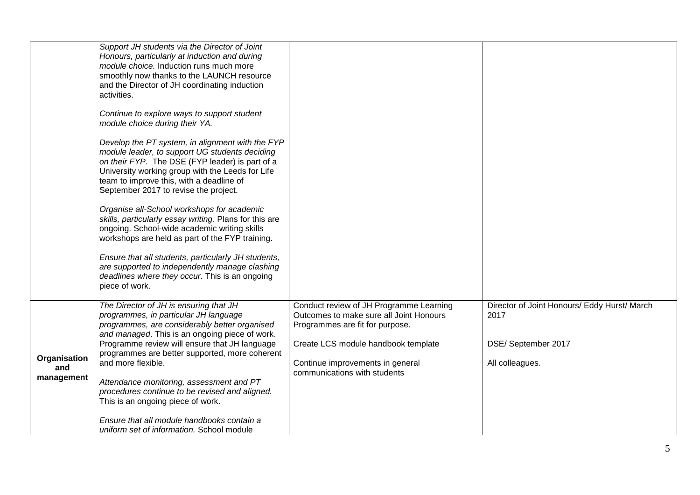|                                   | Support JH students via the Director of Joint<br>Honours, particularly at induction and during<br>module choice. Induction runs much more<br>smoothly now thanks to the LAUNCH resource<br>and the Director of JH coordinating induction<br>activities.<br>Continue to explore ways to support student<br>module choice during their YA.<br>Develop the PT system, in alignment with the FYP<br>module leader, to support UG students deciding<br>on their FYP. The DSE (FYP leader) is part of a<br>University working group with the Leeds for Life<br>team to improve this, with a deadline of<br>September 2017 to revise the project.<br>Organise all-School workshops for academic<br>skills, particularly essay writing. Plans for this are<br>ongoing. School-wide academic writing skills<br>workshops are held as part of the FYP training.<br>Ensure that all students, particularly JH students,<br>are supported to independently manage clashing<br>deadlines where they occur. This is an ongoing<br>piece of work. |                                                                                                                                                                                                                                  |                                                                                                |
|-----------------------------------|------------------------------------------------------------------------------------------------------------------------------------------------------------------------------------------------------------------------------------------------------------------------------------------------------------------------------------------------------------------------------------------------------------------------------------------------------------------------------------------------------------------------------------------------------------------------------------------------------------------------------------------------------------------------------------------------------------------------------------------------------------------------------------------------------------------------------------------------------------------------------------------------------------------------------------------------------------------------------------------------------------------------------------|----------------------------------------------------------------------------------------------------------------------------------------------------------------------------------------------------------------------------------|------------------------------------------------------------------------------------------------|
| Organisation<br>and<br>management | The Director of JH is ensuring that JH<br>programmes, in particular JH language<br>programmes, are considerably better organised<br>and managed. This is an ongoing piece of work.<br>Programme review will ensure that JH language<br>programmes are better supported, more coherent<br>and more flexible.<br>Attendance monitoring, assessment and PT<br>procedures continue to be revised and aligned.<br>This is an ongoing piece of work.<br>Ensure that all module handbooks contain a<br>uniform set of information. School module                                                                                                                                                                                                                                                                                                                                                                                                                                                                                          | Conduct review of JH Programme Learning<br>Outcomes to make sure all Joint Honours<br>Programmes are fit for purpose.<br>Create LCS module handbook template<br>Continue improvements in general<br>communications with students | Director of Joint Honours/ Eddy Hurst/ March<br>2017<br>DSE/ September 2017<br>All colleagues. |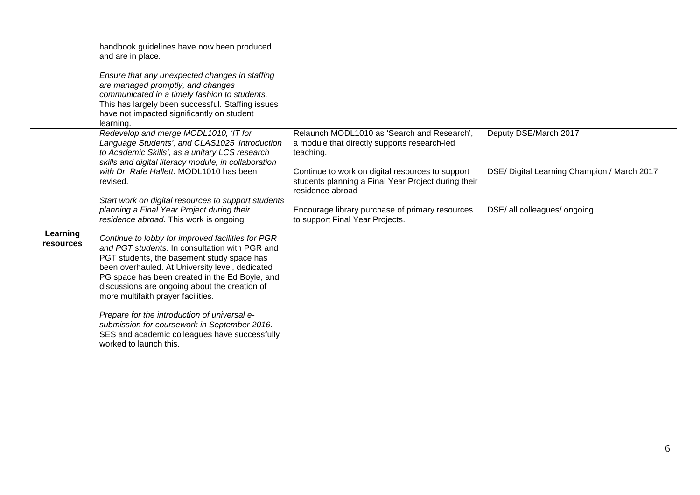|                       | handbook guidelines have now been produced<br>and are in place.<br>Ensure that any unexpected changes in staffing<br>are managed promptly, and changes<br>communicated in a timely fashion to students.<br>This has largely been successful. Staffing issues<br>have not impacted significantly on student                                    |                                                                                                                             |                                             |
|-----------------------|-----------------------------------------------------------------------------------------------------------------------------------------------------------------------------------------------------------------------------------------------------------------------------------------------------------------------------------------------|-----------------------------------------------------------------------------------------------------------------------------|---------------------------------------------|
|                       | learning.<br>Redevelop and merge MODL1010, 'IT for<br>Language Students', and CLAS1025 'Introduction<br>to Academic Skills', as a unitary LCS research<br>skills and digital literacy module, in collaboration                                                                                                                                | Relaunch MODL1010 as 'Search and Research',<br>a module that directly supports research-led<br>teaching.                    | Deputy DSE/March 2017                       |
|                       | with Dr. Rafe Hallett. MODL1010 has been<br>revised.                                                                                                                                                                                                                                                                                          | Continue to work on digital resources to support<br>students planning a Final Year Project during their<br>residence abroad | DSE/ Digital Learning Champion / March 2017 |
|                       | Start work on digital resources to support students<br>planning a Final Year Project during their<br>residence abroad. This work is ongoing                                                                                                                                                                                                   | Encourage library purchase of primary resources<br>to support Final Year Projects.                                          | DSE/ all colleagues/ ongoing                |
| Learning<br>resources | Continue to lobby for improved facilities for PGR<br>and PGT students. In consultation with PGR and<br>PGT students, the basement study space has<br>been overhauled. At University level, dedicated<br>PG space has been created in the Ed Boyle, and<br>discussions are ongoing about the creation of<br>more multifaith prayer facilities. |                                                                                                                             |                                             |
|                       | Prepare for the introduction of universal e-<br>submission for coursework in September 2016.<br>SES and academic colleagues have successfully<br>worked to launch this.                                                                                                                                                                       |                                                                                                                             |                                             |